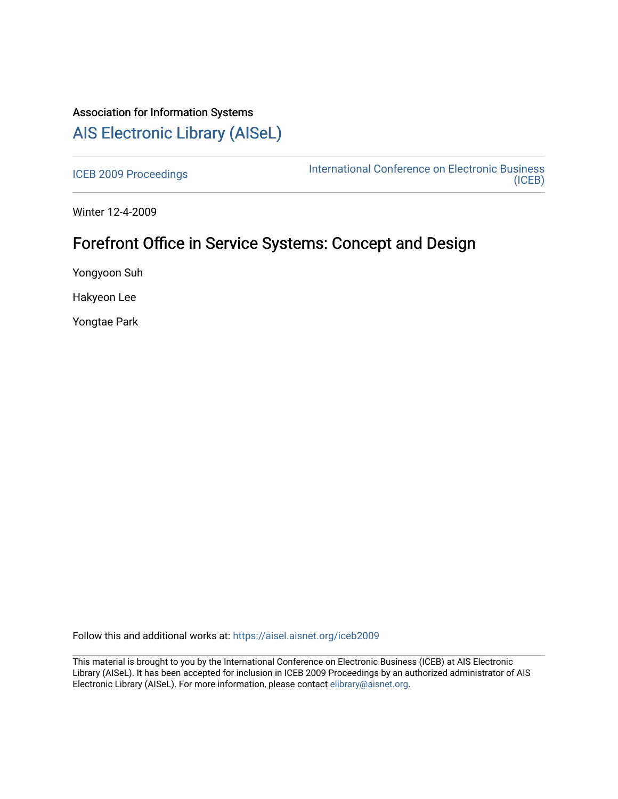# Association for Information Systems [AIS Electronic Library \(AISeL\)](https://aisel.aisnet.org/)

[ICEB 2009 Proceedings](https://aisel.aisnet.org/iceb2009) **International Conference on Electronic Business** [\(ICEB\)](https://aisel.aisnet.org/iceb) 

Winter 12-4-2009

# Forefront Office in Service Systems: Concept and Design

Yongyoon Suh

Hakyeon Lee

Yongtae Park

Follow this and additional works at: [https://aisel.aisnet.org/iceb2009](https://aisel.aisnet.org/iceb2009?utm_source=aisel.aisnet.org%2Ficeb2009%2F126&utm_medium=PDF&utm_campaign=PDFCoverPages)

This material is brought to you by the International Conference on Electronic Business (ICEB) at AIS Electronic Library (AISeL). It has been accepted for inclusion in ICEB 2009 Proceedings by an authorized administrator of AIS Electronic Library (AISeL). For more information, please contact [elibrary@aisnet.org.](mailto:elibrary@aisnet.org%3E)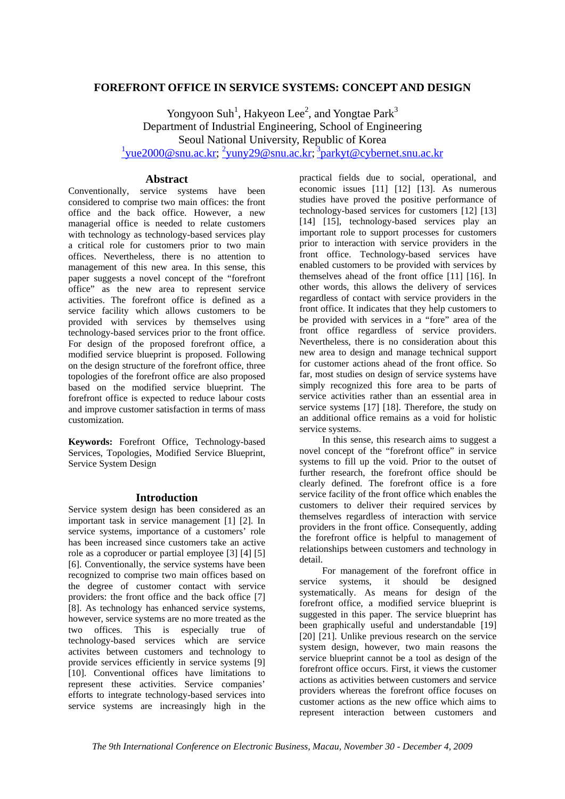## **FOREFRONT OFFICE IN SERVICE SYSTEMS: CONCEPT AND DESIGN**

Yongyoon Suh<sup>1</sup>, Hakyeon Lee<sup>2</sup>, and Yongtae Park<sup>3</sup> Department of Industrial Engineering, School of Engineering Seoul National University, Republic of Korea  $\frac{1}{2}$ yue2000@snu.ac.kr;  $\frac{2}{2}$ yuny29@snu.ac.kr;  $\frac{3}{2}$ parkyt@cybernet.snu.ac.kr

## **Abstract**

Conventionally, service systems have been considered to comprise two main offices: the front office and the back office. However, a new managerial office is needed to relate customers with technology as technology-based services play a critical role for customers prior to two main offices. Nevertheless, there is no attention to management of this new area. In this sense, this paper suggests a novel concept of the "forefront office" as the new area to represent service activities. The forefront office is defined as a service facility which allows customers to be provided with services by themselves using technology-based services prior to the front office. For design of the proposed forefront office, a modified service blueprint is proposed. Following on the design structure of the forefront office, three topologies of the forefront office are also proposed based on the modified service blueprint. The forefront office is expected to reduce labour costs and improve customer satisfaction in terms of mass customization.

**Keywords:** Forefront Office, Technology-based Services, Topologies, Modified Service Blueprint, Service System Design

## **Introduction**

Service system design has been considered as an important task in service management [1] [2]. In service systems, importance of a customers' role has been increased since customers take an active role as a coproducer or partial employee [3] [4] [5] [6]. Conventionally, the service systems have been recognized to comprise two main offices based on the degree of customer contact with service providers: the front office and the back office [7] [8]. As technology has enhanced service systems, however, service systems are no more treated as the two offices. This is especially true of technology-based services which are service activites between customers and technology to provide services efficiently in service systems [9] [10]. Conventional offices have limitations to represent these activities. Service companies' efforts to integrate technology-based services into service systems are increasingly high in the

practical fields due to social, operational, and economic issues [11] [12] [13]. As numerous studies have proved the positive performance of technology-based services for customers [12] [13] [14] [15], technology-based services play an important role to support processes for customers prior to interaction with service providers in the front office. Technology-based services have enabled customers to be provided with services by themselves ahead of the front office [11] [16]. In other words, this allows the delivery of services regardless of contact with service providers in the front office. It indicates that they help customers to be provided with services in a "fore" area of the front office regardless of service providers. Nevertheless, there is no consideration about this new area to design and manage technical support for customer actions ahead of the front office. So far, most studies on design of service systems have simply recognized this fore area to be parts of service activities rather than an essential area in service systems [17] [18]. Therefore, the study on an additional office remains as a void for holistic service systems.

 In this sense, this research aims to suggest a novel concept of the "forefront office" in service systems to fill up the void. Prior to the outset of further research, the forefront office should be clearly defined. The forefront office is a fore service facility of the front office which enables the customers to deliver their required services by themselves regardless of interaction with service providers in the front office. Consequently, adding the forefront office is helpful to management of relationships between customers and technology in detail.

For management of the forefront office in<br>respectively systems, it should be designed service systems, it should be designed systematically. As means for design of the forefront office, a modified service blueprint is suggested in this paper. The service blueprint has been graphically useful and understandable [19] [20] [21]. Unlike previous research on the service system design, however, two main reasons the service blueprint cannot be a tool as design of the forefront office occurs. First, it views the customer actions as activities between customers and service providers whereas the forefront office focuses on customer actions as the new office which aims to represent interaction between customers and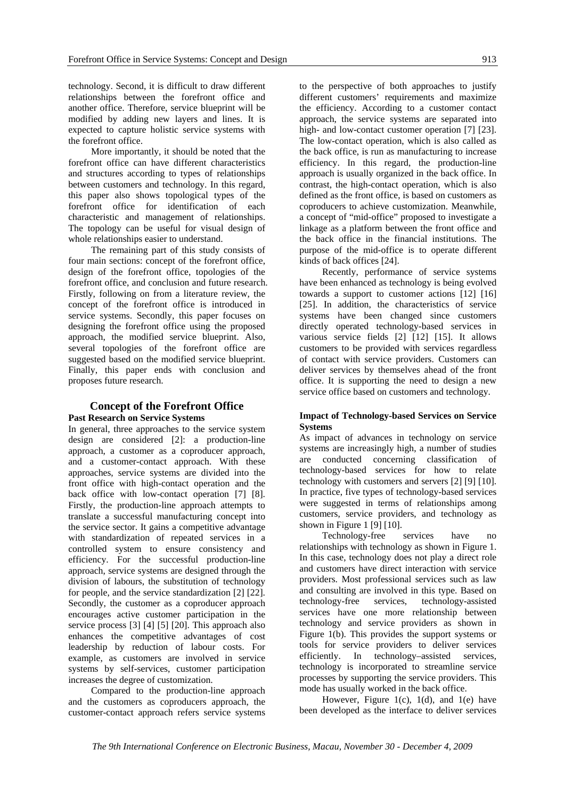technology. Second, it is difficult to draw different relationships between the forefront office and another office. Therefore, service blueprint will be modified by adding new layers and lines. It is expected to capture holistic service systems with the forefront office.

 More importantly, it should be noted that the forefront office can have different characteristics and structures according to types of relationships between customers and technology. In this regard, this paper also shows topological types of the forefront office for identification of each characteristic and management of relationships. The topology can be useful for visual design of whole relationships easier to understand.

 The remaining part of this study consists of four main sections: concept of the forefront office, design of the forefront office, topologies of the forefront office, and conclusion and future research. Firstly, following on from a literature review, the concept of the forefront office is introduced in service systems. Secondly, this paper focuses on designing the forefront office using the proposed approach, the modified service blueprint. Also, several topologies of the forefront office are suggested based on the modified service blueprint. Finally, this paper ends with conclusion and proposes future research.

## **Concept of the Forefront Office Past Research on Service Systems**

In general, three approaches to the service system design are considered [2]: a production-line approach, a customer as a coproducer approach, and a customer-contact approach. With these approaches, service systems are divided into the front office with high-contact operation and the back office with low-contact operation [7] [8]. Firstly, the production-line approach attempts to translate a successful manufacturing concept into the service sector. It gains a competitive advantage with standardization of repeated services in a controlled system to ensure consistency and efficiency. For the successful production-line approach, service systems are designed through the division of labours, the substitution of technology for people, and the service standardization [2] [22]. Secondly, the customer as a coproducer approach encourages active customer participation in the service process [3] [4] [5] [20]. This approach also enhances the competitive advantages of cost leadership by reduction of labour costs. For example, as customers are involved in service systems by self-services, customer participation increases the degree of customization.

 Compared to the production-line approach and the customers as coproducers approach, the customer-contact approach refers service systems

to the perspective of both approaches to justify different customers' requirements and maximize the efficiency. According to a customer contact approach, the service systems are separated into high- and low-contact customer operation [7] [23]. The low-contact operation, which is also called as the back office, is run as manufacturing to increase efficiency. In this regard, the production-line approach is usually organized in the back office. In contrast, the high-contact operation, which is also defined as the front office, is based on customers as coproducers to achieve customization. Meanwhile, a concept of "mid-office" proposed to investigate a linkage as a platform between the front office and the back office in the financial institutions. The purpose of the mid-office is to operate different kinds of back offices [24].

 Recently, performance of service systems have been enhanced as technology is being evolved towards a support to customer actions [12] [16] [25]. In addition, the characteristics of service systems have been changed since customers directly operated technology-based services in various service fields [2] [12] [15]. It allows customers to be provided with services regardless of contact with service providers. Customers can deliver services by themselves ahead of the front office. It is supporting the need to design a new service office based on customers and technology.

## **Impact of Technology-based Services on Service Systems**

As impact of advances in technology on service systems are increasingly high, a number of studies are conducted concerning classification of technology-based services for how to relate technology with customers and servers [2] [9] [10]. In practice, five types of technology-based services were suggested in terms of relationships among customers, service providers, and technology as shown in Figure 1 [9] [10].

 Technology-free services have no relationships with technology as shown in Figure 1. In this case, technology does not play a direct role and customers have direct interaction with service providers. Most professional services such as law and consulting are involved in this type. Based on technology-free services, technology-assisted services have one more relationship between technology and service providers as shown in Figure 1(b). This provides the support systems or tools for service providers to deliver services efficiently. In technology-assisted services.  $\text{efficiently.}$  In technology–assisted technology is incorporated to streamline service processes by supporting the service providers. This mode has usually worked in the back office.

 However, Figure 1(c), 1(d), and 1(e) have been developed as the interface to deliver services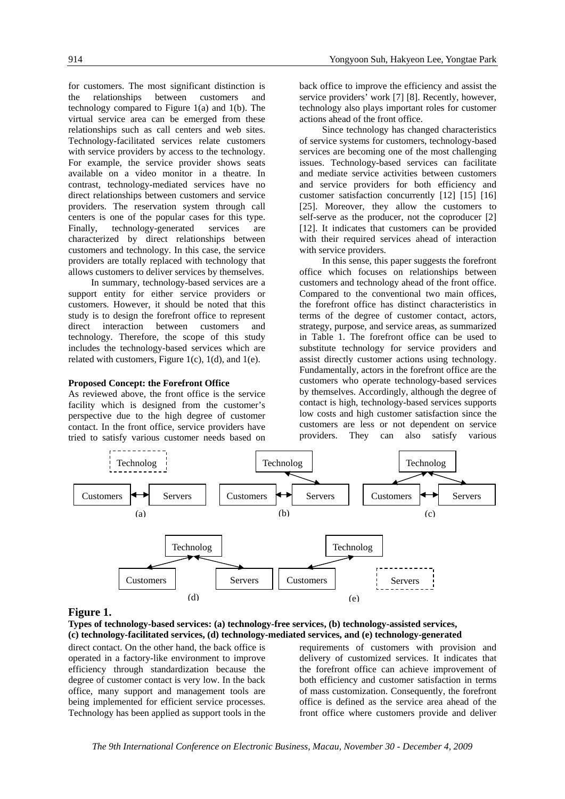for customers. The most significant distinction is the relationships between customers and technology compared to Figure 1(a) and 1(b). The virtual service area can be emerged from these relationships such as call centers and web sites. Technology-facilitated services relate customers with service providers by access to the technology. For example, the service provider shows seats available on a video monitor in a theatre. In contrast, technology-mediated services have no direct relationships between customers and service providers. The reservation system through call centers is one of the popular cases for this type. Finally, technology-generated services are characterized by direct relationships between customers and technology. In this case, the service providers are totally replaced with technology that allows customers to deliver services by themselves.

 In summary, technology-based services are a support entity for either service providers or customers. However, it should be noted that this study is to design the forefront office to represent direct interaction between customers and technology. Therefore, the scope of this study includes the technology-based services which are related with customers, Figure 1(c), 1(d), and 1(e).

#### **Proposed Concept: the Forefront Office**

As reviewed above, the front office is the service facility which is designed from the customer's perspective due to the high degree of customer contact. In the front office, service providers have tried to satisfy various customer needs based on

back office to improve the efficiency and assist the service providers' work [7] [8]. Recently, however, technology also plays important roles for customer actions ahead of the front office.

 Since technology has changed characteristics of service systems for customers, technology-based services are becoming one of the most challenging issues. Technology-based services can facilitate and mediate service activities between customers and service providers for both efficiency and customer satisfaction concurrently [12] [15] [16] [25]. Moreover, they allow the customers to self-serve as the producer, not the coproducer [2] [12]. It indicates that customers can be provided with their required services ahead of interaction with service providers.

 In this sense, this paper suggests the forefront office which focuses on relationships between customers and technology ahead of the front office. Compared to the conventional two main offices, the forefront office has distinct characteristics in terms of the degree of customer contact, actors, strategy, purpose, and service areas, as summarized in Table 1. The forefront office can be used to substitute technology for service providers and assist directly customer actions using technology. Fundamentally, actors in the forefront office are the customers who operate technology-based services by themselves. Accordingly, although the degree of contact is high, technology-based services supports low costs and high customer satisfaction since the customers are less or not dependent on service providers. They can also satisfy various



#### **Figure 1.**

**Types of technology-based services: (a) technology-free services, (b) technology-assisted services, (c) technology-facilitated services, (d) technology-mediated services, and (e) technology-generated** 

direct contact. On the other hand, the back office is operated in a factory-like environment to improve efficiency through standardization because the degree of customer contact is very low. In the back office, many support and management tools are being implemented for efficient service processes. Technology has been applied as support tools in the requirements of customers with provision and delivery of customized services. It indicates that the forefront office can achieve improvement of both efficiency and customer satisfaction in terms of mass customization. Consequently, the forefront office is defined as the service area ahead of the front office where customers provide and deliver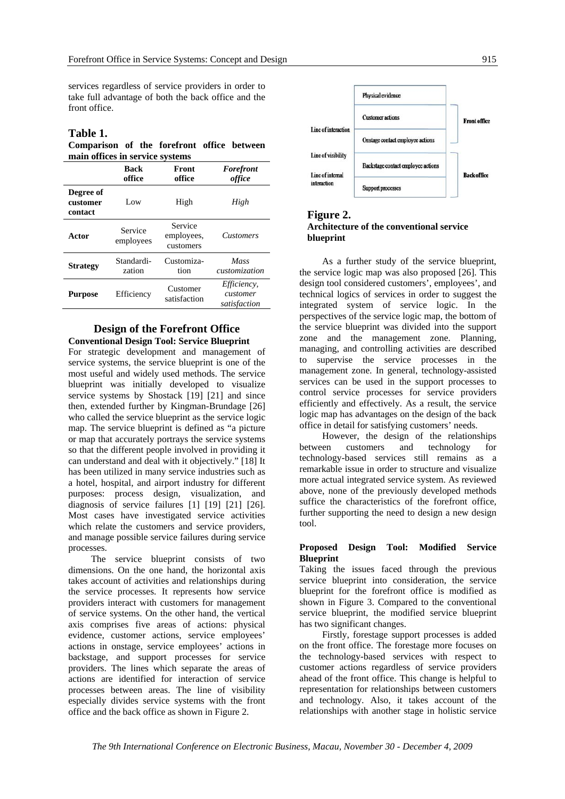services regardless of service providers in order to take full advantage of both the back office and the front office.

## **Table 1.**

**Comparison of the forefront office between main offices in service systems** 

|                                  | <b>Back</b><br>office | Front<br>office                    | Forefront<br>office                            |
|----------------------------------|-----------------------|------------------------------------|------------------------------------------------|
| Degree of<br>customer<br>contact | Low                   | High                               | High                                           |
| Actor                            | Service<br>employees  | Service<br>employees,<br>customers | <i>Customers</i>                               |
| <b>Strategy</b>                  | Standardi-<br>zation  | Customiza-<br>tion                 | Mass<br>customization                          |
| <b>Purpose</b>                   | Efficiency            | Customer<br>satisfaction           | <i>Efficiency,</i><br>customer<br>satisfaction |

### **Design of the Forefront Office Conventional Design Tool: Service Blueprint**

For strategic development and management of service systems, the service blueprint is one of the most useful and widely used methods. The service blueprint was initially developed to visualize service systems by Shostack [19] [21] and since then, extended further by Kingman-Brundage [26] who called the service blueprint as the service logic map. The service blueprint is defined as "a picture or map that accurately portrays the service systems so that the different people involved in providing it can understand and deal with it objectively." [18] It has been utilized in many service industries such as a hotel, hospital, and airport industry for different purposes: process design, visualization, and diagnosis of service failures [1] [19] [21] [26]. Most cases have investigated service activities which relate the customers and service providers, and manage possible service failures during service processes.

 The service blueprint consists of two dimensions. On the one hand, the horizontal axis takes account of activities and relationships during the service processes. It represents how service providers interact with customers for management of service systems. On the other hand, the vertical axis comprises five areas of actions: physical evidence, customer actions, service employees' actions in onstage, service employees' actions in backstage, and support processes for service providers. The lines which separate the areas of actions are identified for interaction of service processes between areas. The line of visibility especially divides service systems with the front office and the back office as shown in Figure 2.



## **Figure 2. Architecture of the conventional service blueprint**

 As a further study of the service blueprint, the service logic map was also proposed [26]. This design tool considered customers', employees', and technical logics of services in order to suggest the integrated system of service logic. In the perspectives of the service logic map, the bottom of the service blueprint was divided into the support zone and the management zone. Planning, managing, and controlling activities are described to supervise the service processes in the management zone. In general, technology-assisted services can be used in the support processes to control service processes for service providers efficiently and effectively. As a result, the service logic map has advantages on the design of the back office in detail for satisfying customers' needs.

 However, the design of the relationships between customers and technology for technology-based services still remains as a remarkable issue in order to structure and visualize more actual integrated service system. As reviewed above, none of the previously developed methods suffice the characteristics of the forefront office, further supporting the need to design a new design tool.

### **Proposed Design Tool: Modified Service Blueprint**

Taking the issues faced through the previous service blueprint into consideration, the service blueprint for the forefront office is modified as shown in Figure 3. Compared to the conventional service blueprint, the modified service blueprint has two significant changes.

 Firstly, forestage support processes is added on the front office. The forestage more focuses on the technology-based services with respect to customer actions regardless of service providers ahead of the front office. This change is helpful to representation for relationships between customers and technology. Also, it takes account of the relationships with another stage in holistic service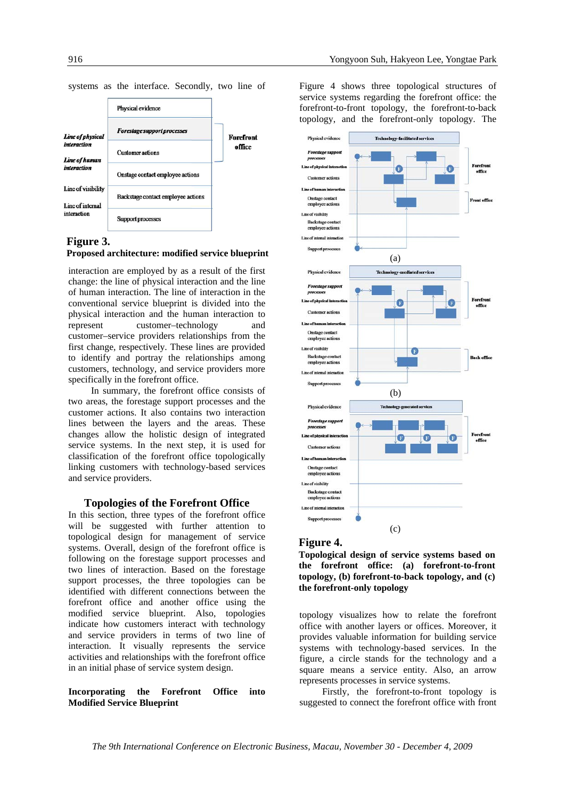systems as the interface. Secondly, two line of



#### **Figure 3.**

# **Proposed architecture: modified service blueprint** support processes (a)

interaction are employed by as a result of the first change: the line of physical interaction and the line of human interaction. The line of interaction in the conventional service blueprint is divided into the physical interaction and the human interaction to represent customer–technology and customer–service providers relationships from the first change, respectively. These lines are provided to identify and portray the relationships among customers, technology, and service providers more specifically in the forefront office.

 In summary, the forefront office consists of two areas, the forestage support processes and the customer actions. It also contains two interaction lines between the layers and the areas. These changes allow the holistic design of integrated service systems. In the next step, it is used for classification of the forefront office topologically linking customers with technology-based services and service providers.

### **Topologies of the Forefront Office**

In this section, three types of the forefront office will be suggested with further attention to topological design for management of service systems. Overall, design of the forefront office is following on the forestage support processes and two lines of interaction. Based on the forestage support processes, the three topologies can be identified with different connections between the forefront office and another office using the modified service blueprint. Also, topologies indicate how customers interact with technology and service providers in terms of two line of interaction. It visually represents the service activities and relationships with the forefront office in an initial phase of service system design.

### **Incorporating the Forefront Office into Modified Service Blueprint**

Figure 4 shows three topological structures of service systems regarding the forefront office: the forefront-to-front topology, the forefront-to-back topology, and the forefront-only topology. The



#### **Figure 4.**

**Topological design of service systems based on the forefront office: (a) forefront-to-front topology, (b) forefront-to-back topology, and (c) the forefront-only topology** 

topology visualizes how to relate the forefront office with another layers or offices. Moreover, it provides valuable information for building service systems with technology-based services. In the figure, a circle stands for the technology and a square means a service entity. Also, an arrow represents processes in service systems.

 Firstly, the forefront-to-front topology is suggested to connect the forefront office with front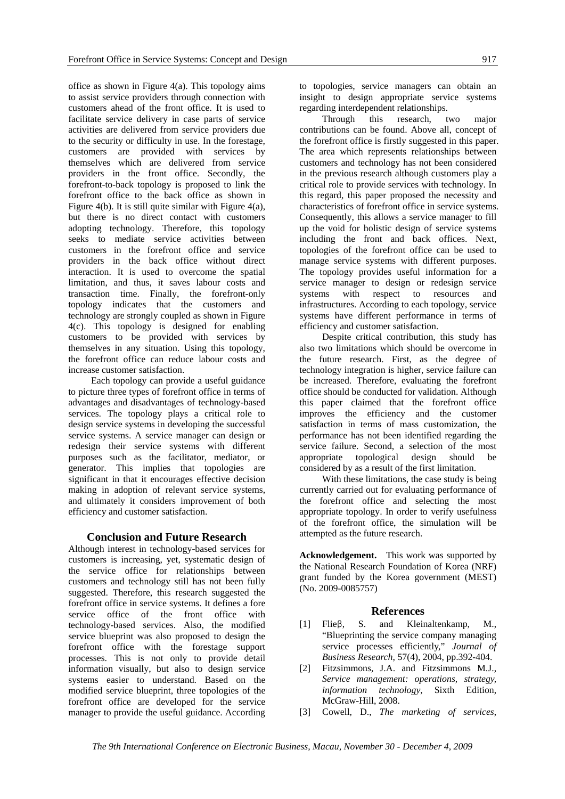office as shown in Figure 4(a). This topology aims to assist service providers through connection with customers ahead of the front office. It is used to facilitate service delivery in case parts of service activities are delivered from service providers due to the security or difficulty in use. In the forestage, customers are provided with services by themselves which are delivered from service providers in the front office. Secondly, the forefront-to-back topology is proposed to link the forefront office to the back office as shown in Figure 4(b). It is still quite similar with Figure 4(a), but there is no direct contact with customers adopting technology. Therefore, this topology seeks to mediate service activities between customers in the forefront office and service providers in the back office without direct interaction. It is used to overcome the spatial limitation, and thus, it saves labour costs and transaction time. Finally, the forefront-only topology indicates that the customers and technology are strongly coupled as shown in Figure 4(c). This topology is designed for enabling customers to be provided with services by themselves in any situation. Using this topology, the forefront office can reduce labour costs and increase customer satisfaction.

 Each topology can provide a useful guidance to picture three types of forefront office in terms of advantages and disadvantages of technology-based services. The topology plays a critical role to design service systems in developing the successful service systems. A service manager can design or redesign their service systems with different purposes such as the facilitator, mediator, or generator. This implies that topologies are significant in that it encourages effective decision making in adoption of relevant service systems, and ultimately it considers improvement of both efficiency and customer satisfaction.

## **Conclusion and Future Research**

Although interest in technology-based services for customers is increasing, yet, systematic design of the service office for relationships between customers and technology still has not been fully suggested. Therefore, this research suggested the forefront office in service systems. It defines a fore service office of the front office with technology-based services. Also, the modified service blueprint was also proposed to design the forefront office with the forestage support processes. This is not only to provide detail information visually, but also to design service systems easier to understand. Based on the modified service blueprint, three topologies of the forefront office are developed for the service manager to provide the useful guidance. According

to topologies, service managers can obtain an insight to design appropriate service systems regarding interdependent relationships.

 Through this research, two major contributions can be found. Above all, concept of the forefront office is firstly suggested in this paper. The area which represents relationships between customers and technology has not been considered in the previous research although customers play a critical role to provide services with technology. In this regard, this paper proposed the necessity and characteristics of forefront office in service systems. Consequently, this allows a service manager to fill up the void for holistic design of service systems including the front and back offices. Next, topologies of the forefront office can be used to manage service systems with different purposes. The topology provides useful information for a service manager to design or redesign service systems with respect to resources and infrastructures. According to each topology, service systems have different performance in terms of efficiency and customer satisfaction.

 Despite critical contribution, this study has also two limitations which should be overcome in the future research. First, as the degree of technology integration is higher, service failure can be increased. Therefore, evaluating the forefront office should be conducted for validation. Although this paper claimed that the forefront office improves the efficiency and the customer satisfaction in terms of mass customization, the performance has not been identified regarding the service failure. Second, a selection of the most appropriate topological design should be considered by as a result of the first limitation.

 With these limitations, the case study is being currently carried out for evaluating performance of the forefront office and selecting the most appropriate topology. In order to verify usefulness of the forefront office, the simulation will be attempted as the future research.

**Acknowledgement.** This work was supported by the National Research Foundation of Korea (NRF) grant funded by the Korea government (MEST) (No. 2009-0085757)

## **References**

- [1] Flieβ, S. and Kleinaltenkamp, M., "Blueprinting the service company managing service processes efficiently," *Journal of Business Research*, 57(4), 2004, pp.392-404.
- [2] Fitzsimmons, J.A. and Fitzsimmons M.J., *Service management: operations, strategy, information technology*, Sixth Edition, McGraw-Hill, 2008.
- [3] Cowell, D., *The marketing of services*,